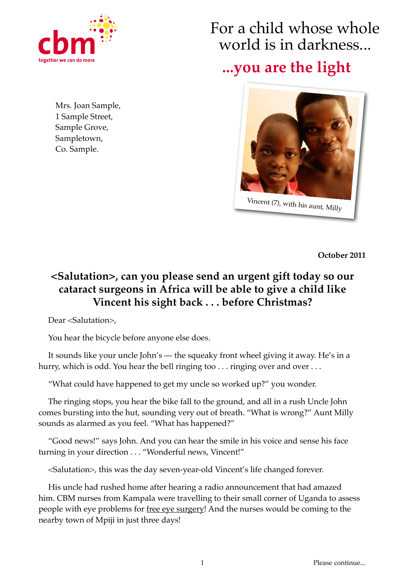

Mrs. Joan Sample, 1 Sample Street, Sample Grove, Sampletown, Co. Sample.

## For a child whose whole world is in darkness...

## **...you are the light**



**October 2011**

## **<Salutation>, can you please send an urgent gift today so our cataract surgeons in Africa will be able to give a child like Vincent his sight back . . . before Christmas?**

Dear <Salutation>,

You hear the bicycle before anyone else does.

It sounds like your uncle John's — the squeaky front wheel giving it away. He's in a hurry, which is odd. You hear the bell ringing too . . . ringing over and over . . .

"What could have happened to get my uncle so worked up?" you wonder.

The ringing stops, you hear the bike fall to the ground, and all in a rush Uncle John comes bursting into the hut, sounding very out of breath. "What is wrong?" Aunt Milly sounds as alarmed as you feel. "What has happened?"

"Good news!" says John. And you can hear the smile in his voice and sense his face turning in your direction . . . "Wonderful news, Vincent!"

<Salutation>, this was the day seven-year-old Vincent's life changed forever.

His uncle had rushed home after hearing a radio announcement that had amazed him. CBM nurses from Kampala were travelling to their small corner of Uganda to assess people with eye problems for free eye surgery! And the nurses would be coming to the nearby town of Mpiji in just three days!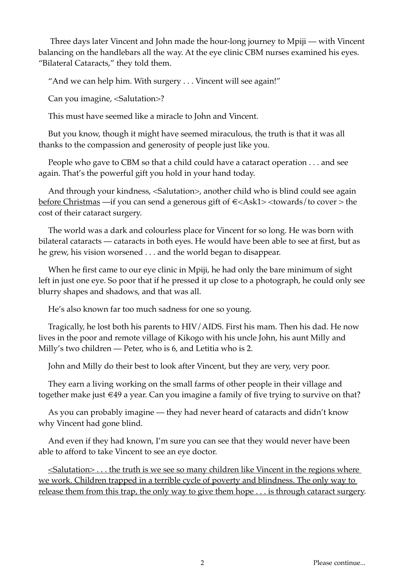Three days later Vincent and John made the hour-long journey to Mpiji — with Vincent balancing on the handlebars all the way. At the eye clinic CBM nurses examined his eyes. "Bilateral Cataracts," they told them.

"And we can help him. With surgery . . . Vincent will see again!"

Can you imagine, <Salutation>?

This must have seemed like a miracle to John and Vincent.

But you know, though it might have seemed miraculous, the truth is that it was all thanks to the compassion and generosity of people just like you.

People who gave to CBM so that a child could have a cataract operation . . . and see again. That's the powerful gift you hold in your hand today.

And through your kindness, <Salutation>, another child who is blind could see again before Christmas —if you can send a generous gift of  $\epsilon$ <Ask1> <towards/to cover > the cost of their cataract surgery.

The world was a dark and colourless place for Vincent for so long. He was born with bilateral cataracts — cataracts in both eyes. He would have been able to see at first, but as he grew, his vision worsened . . . and the world began to disappear.

When he first came to our eye clinic in Mpiji, he had only the bare minimum of sight left in just one eye. So poor that if he pressed it up close to a photograph, he could only see blurry shapes and shadows, and that was all.

He's also known far too much sadness for one so young.

Tragically, he lost both his parents to HIV/AIDS. First his mam. Then his dad. He now lives in the poor and remote village of Kikogo with his uncle John, his aunt Milly and Milly's two children — Peter, who is 6, and Letitia who is 2.

John and Milly do their best to look after Vincent, but they are very, very poor.

They earn a living working on the small farms of other people in their village and together make just €49 a year. Can you imagine a family of five trying to survive on that?

As you can probably imagine — they had never heard of cataracts and didn't know why Vincent had gone blind.

And even if they had known, I'm sure you can see that they would never have been able to afford to take Vincent to see an eye doctor.

 $\leq$ Salutation $>$ ... the truth is we see so many children like Vincent in the regions where we work. Children trapped in a terrible cycle of poverty and blindness. The only way to release them from this trap, the only way to give them hope . . . is through cataract surgery.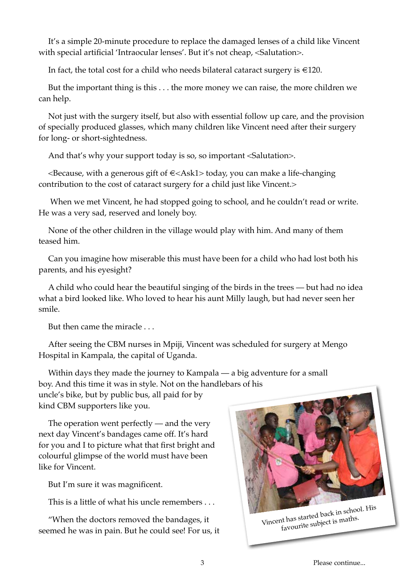It's a simple 20-minute procedure to replace the damaged lenses of a child like Vincent with special artificial 'Intraocular lenses'. But it's not cheap, <Salutation>.

In fact, the total cost for a child who needs bilateral cataract surgery is  $\in$ 120.

But the important thing is this . . . the more money we can raise, the more children we can help.

Not just with the surgery itself, but also with essential follow up care, and the provision of specially produced glasses, which many children like Vincent need after their surgery for long- or short-sightedness.

And that's why your support today is so, so important <Salutation>.

 $\leq$ Because, with a generous gift of  $\in$  $\leq$ Ask1 $>$  today, you can make a life-changing contribution to the cost of cataract surgery for a child just like Vincent.>

 When we met Vincent, he had stopped going to school, and he couldn't read or write. He was a very sad, reserved and lonely boy.

None of the other children in the village would play with him. And many of them teased him.

Can you imagine how miserable this must have been for a child who had lost both his parents, and his eyesight?

A child who could hear the beautiful singing of the birds in the trees — but had no idea what a bird looked like. Who loved to hear his aunt Milly laugh, but had never seen her smile.

But then came the miracle . . .

After seeing the CBM nurses in Mpiji, Vincent was scheduled for surgery at Mengo Hospital in Kampala, the capital of Uganda.

Within days they made the journey to Kampala — a big adventure for a small boy. And this time it was in style. Not on the handlebars of his

uncle's bike, but by public bus, all paid for by kind CBM supporters like you.

The operation went perfectly — and the very next day Vincent's bandages came off. It's hard for you and I to picture what that first bright and colourful glimpse of the world must have been like for Vincent.

But I'm sure it was magnificent.

This is a little of what his uncle remembers . . .

"When the doctors removed the bandages, it seemed he was in pain. But he could see! For us, it